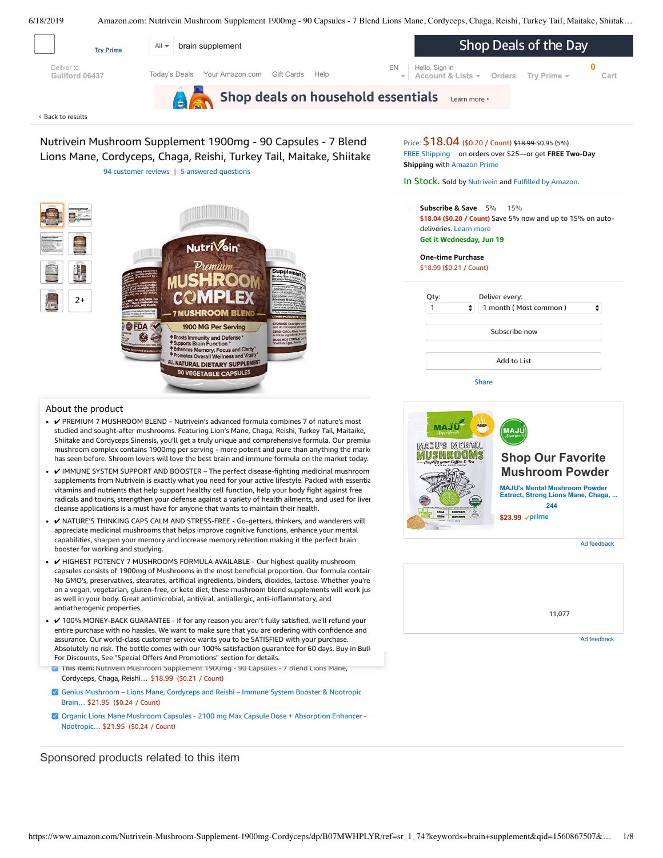<span id="page-0-0"></span>Shop Deals of the Day All **v** brain supplement **Try Prime** Deliver to [EN](https://www.amazon.com/gp/customer-preferences/select-language/ref=topnav_lang?preferencesReturnUrl=%2FNutrivein-Mushroom-Supplement-1900mg-Cordyceps%2Fdp%2FB07MWHPLYR%2Fref%3Dsr_1_74%3Fkeywords%3Dbrain%2Bsupplement%26qid%3D1560867507%26s%3Dgateway%26sr%3D8-74) Hello, Sign in **0** [Today's Deals](https://www.amazon.com/gp/goldbox?ref_=nav_cs_gb_azl) [Your Amazon.com](https://www.amazon.com/gp/yourstore/home?ref_=nav_cs_ys) [Gift Cards](https://www.amazon.com/gift-cards/b/?ie=UTF8&node=2238192011&ref_=nav_cs_gift_cards) [Help](https://www.amazon.com/gp/help/customer/display.html?nodeId=508510&ref_=nav_cs_help) **[Account & Lists](https://www.amazon.com/ap/signin?openid.pape.max_auth_age=0&openid.return_to=https%3A%2F%2Fwww.amazon.com%2FNutrivein-Mushroom-Supplement-1900mg-Cordyceps%2Fdp%2FB07MWHPLYR%2Fref%3Dnav_ya_signin%3Fkeywords%3Dbrain%2Bsupplement%26qid%3D1560867507%26s%3Dgateway%26sr%3D8-74&openid.identity=http%3A%2F%2Fspecs.openid.net%2Fauth%2F2.0%2Fidentifier_select&openid.assoc_handle=usflex&openid.mode=checkid_setup&openid.claimed_id=http%3A%2F%2Fspecs.openid.net%2Fauth%2F2.0%2Fidentifier_select&openid.ns=http%3A%2F%2Fspecs.openid.net%2Fauth%2F2.0&) [Orders](https://www.amazon.com/gp/css/order-history?ref_=nav_orders_first) [Try Prime](https://www.amazon.com/prime?ref_=nav_prime_try_btn) [Cart](https://www.amazon.com/gp/cart/view.html?ref_=nav_cart) Guilford 06437**  Shop deals on household essentials Learn more Back to [results](https://www.amazon.com/s?k=brain+supplement&page=2&qid=1560775425&ref=sr_pg_2) ‹ Nutrivein Mushroom Supplement 1900mg - 90 Capsules - 7 Blend Price:  $$18.04$  (\$0.20 / Count) \$18.99 \$0.95 (5%) FREE [Shipping](javascript:void(0)) on orders over \$25—or get **FREE Two-Day** Lions Mane, Cordyceps, Chaga, Reishi, Turkey Tail, Maitake, Shiitake - **Shipping** with [Amazon](https://www.amazon.com/gp/prime/pipeline/signup.html?ref=primedp_ventures_desktopBelowThreshold&primeCampaignId=primedp_ventures_desktopBelowThreshold) Prime 94 [customer](#page-4-0) reviews | 5 answered [questions](#page-3-0) In Stock. Sold by [Nutrivein](https://www.amazon.com/gp/help/seller/at-a-glance.html/ref=dp_merchant_link?ie=UTF8&seller=A23O7XHKYF1R8P&isAmazonFulfilled=1) and [Fulfilled](https://www.amazon.com/gp/help/customer/display.html?ie=UTF8&ref=dp_fulfillment&nodeId=106096011) by Amazon. **Subscribe & Save** 5% 15% **\$18.04 (\$0.20 / Count)** Save 5% now and up to 15% on autodeliveries. Learn more **Get it Wednesday, Jun 19** NutriVein **One-time Purchase** \$18.99 (\$0.21 / Count) Qty: Deliver every: 2+ 1  $\ddot{\bullet}$ 1 month ( Most common )  $\div$ **7 MUSHROOM BLENI FDA** 1900 MG Per Serving Subscribe now nmunity and Defense<br>Brain Function \* ances Memory, Focus and Clarity<br>motes Overall Wellness and Vitality

6/18/2019 Amazon.com: Nutrivein Mushroom Supplement 1900mg - 90 Capsules - 7 Blend Lions Mane, Cordyceps, Chaga, Reishi, Turkey Tail, Maitake, Shiitak…

# About the product

•  $\vee$  PREMIUM 7 MUSHROOM BLEND – Nutrivein's advanced formula combines 7 of nature's most studied and sought-after mushrooms. Featuring Lion's Mane, Chaga, Reishi, Turkey Tail, Maitaike, Shiitake and Cordyceps Sinensis, you'll get a truly unique and comprehensive formula. Our premium mushroom complex contains 1900mg per serving - more potent and pure than anything the marke has seen before. Shroom lovers will love the best brain and immune formula on the market today.

ALL NATURAL DIETARY SUPPLEMENT 90 VEGETABLE CAPSULES

- $\vee$  IMMUNE SYSTEM SUPPORT AND BOOSTER The perfect disease-fighting medicinal mushroom supplements from Nutrivein is exactly what you need for your active lifestyle. Packed with essential vitamins and nutrients that help support healthy cell function, help your body fight against free radicals and toxins, strengthen your defense against a variety of health ailments, and used for liver cleanse applications is a must have for anyone that wants to maintain their health.
- ✔ NATURE'S THINKING CAPS CALM AND [STRESS-FREE](https://www.amazon.com/gp/redirect.html/ref=amb_link_1?_encoding=UTF8&location=https%3A%2F%2Fwww.amazon.com%2Fstores%2Fpage%2F5C6C0A16-CE60-4998-B799-A746AE18E19B%3Fchannel%3Dproduct_alert_v1&source=standards&token=725A568E064D46CFD215073B2EAF8C86121FB501&pf_rd_m=ATVPDKIKX0DER&pf_rd_s=product-alert&pf_rd_r=CWGP4GWGY0ASB2WBAQD3&pf_rd_r=CWGP4GWGY0ASB2WBAQD3&pf_rd_t=201&pf_rd_p=5ccb7e8b-1cdb-4056-8a8c-bdea3462f1a9&pf_rd_p=5ccb7e8b-1cdb-4056-8a8c-bdea3462f1a9&pf_rd_i=B07MWHPLYR) Go-getters, thinkers, and wanderers will appreciate medicinal mushrooms that helps improve cognitive functions, enhance your mental capabilities, sharpen your memory and increase memory retention making it the perfect brain booster for working and studying.
- Frequently consists of 1900mg of Mushrooms in the most beneficial proportion. Our formula contains and the most proportion. The most proportion of the most proportion. on a vegan, vegetanan, giuten-nee, or keto diet, these mushroom biend supplements w<br>as well in your body. Great [antimicrobial](https://www.amazon.com/Genius-Mushroom-Cordyceps-Nootropic-Supplement/dp/B078SJ9F5S/ref=pd_bxgy_121_img_2/143-6729050-3493109?_encoding=UTF8&pd_rd_i=B078SJ9F5S&pd_rd_r=93f3966b-91ea-11e9-b8af-7ff9941832d1&pd_rd_w=yc9nG&pd_rd_wg=5AkIx&pf_rd_p=a2006322-0bc0-4db9-a08e-d168c18ce6f0&pf_rd_r=CWGP4GWGY0ASB2WBAQD3&psc=1&refRID=CWGP4GWGY0ASB2WBAQD3), antiviral, antiallergic, anti-inflammatory, and •  $\nu$  HIGHEST POTENCY 7 MUSHROOMS FORMULA AVAILABLE - Our highest quality mushroom No GMO's, preservatives, stearates, artificial ingredients, binders, dioxides, lactose. Whether you're on a vegan, vegetarian, gluten-free, or keto diet, these mushroom blend supplements will work just antiatherogenic properties.
- $\checkmark$  100% MONEY-BACK GUARANTEE If for any [reason](https://www.amazon.com/Organic-Lions-Mane-Mushroom-Capsules/dp/B07Q5DZJTK/ref=pd_bxgy_121_img_3/143-6729050-3493109?_encoding=UTF8&pd_rd_i=B07Q5DZJTK&pd_rd_r=93f3966b-91ea-11e9-b8af-7ff9941832d1&pd_rd_w=yc9nG&pd_rd_wg=5AkIx&pf_rd_p=a2006322-0bc0-4db9-a08e-d168c18ce6f0&pf_rd_r=CWGP4GWGY0ASB2WBAQD3&psc=1&refRID=CWGP4GWGY0ASB2WBAQD3) you aren't fully satisfied, we'll refund your entire purchase with no hassles. We want to make sure that you are ordering with confidence and assurance. Our world-class customer service wants you to be SATISFIED with your purchase. Absolutely no risk. The bottle comes with our 100% satisfaction guarantee for 60 days. Buy in Bulk For Discounts, See "Special Offers And Promotions" section for details.
- **This item:** Nutrivein Mushroom Supplement 1900mg 90 Capsules 7 Blend Lions Mane, Cordyceps, Chaga, Reishi… \$18.99 (\$0.21 / Count)
- Genius [Mushroom](https://www.amazon.com/Genius-Mushroom-Cordyceps-Nootropic-Supplement/dp/B078SJ9F5S/ref=pd_bxgy_121_2/143-6729050-3493109?_encoding=UTF8&pd_rd_i=B078SJ9F5S&pd_rd_r=93f3966b-91ea-11e9-b8af-7ff9941832d1&pd_rd_w=yc9nG&pd_rd_wg=5AkIx&pf_rd_p=a2006322-0bc0-4db9-a08e-d168c18ce6f0&pf_rd_r=CWGP4GWGY0ASB2WBAQD3&psc=1&refRID=CWGP4GWGY0ASB2WBAQD3) Lions Mane, Cordyceps and Reishi Immune System Booster & Nootropic Brain… \$21.95 (\$0.24 / Count)
- Organic Lions Mane Mushroom Capsules 2100 mg Max Capsule Dose + Absorption Enhancer [Nootropic…](https://www.amazon.com/Organic-Lions-Mane-Mushroom-Capsules/dp/B07Q5DZJTK/ref=pd_bxgy_121_3/143-6729050-3493109?_encoding=UTF8&pd_rd_i=B07Q5DZJTK&pd_rd_r=93f3966b-91ea-11e9-b8af-7ff9941832d1&pd_rd_w=yc9nG&pd_rd_wg=5AkIx&pf_rd_p=a2006322-0bc0-4db9-a08e-d168c18ce6f0&pf_rd_r=CWGP4GWGY0ASB2WBAQD3&psc=1&refRID=CWGP4GWGY0ASB2WBAQD3) \$21.95 (\$0.24 / Count)

Sponsored products related to this item



Add to List

**[Share](mailto:?body=I%20want%20to%20recommend%20this%20product%20at%20Amazon.com%0A%0ANutrivein%20Mushroom%20Supplement%201900mg%20-%2090%20Capsules%20-%207%20Blend%20Lions%20Mane%2C%20Cordyceps%2C%20Chaga%2C%20Reishi%2C%20Turkey%20Tail%2C%20Maitake%2C%20Shiitake%20-%20Immune%20System%20%26%20Nootropic%20Brain%20Booster%20Complex%20for%20Energy%20%26%20Focus%0Aby%20Nutrivein%0ALearn%20more%3A%20https%3A%2F%2Fwww.amazon.com%2Fdp%2FB07MWHPLYR%2Fref%3Dcm_sw_em_r_mt_dp_U_TIrcDbCG4WYAB&subject=I%20want%20to%20recommend%20this%20product%20on%20Amazon)** 

[11,077](https://www.amazon.com/dp/B01DBTFO98?ref=dacx_dp_8764862790701_5188017060601&aaxitk=RVLZnU2r3BQoogRILQKcFg)

Ad feedback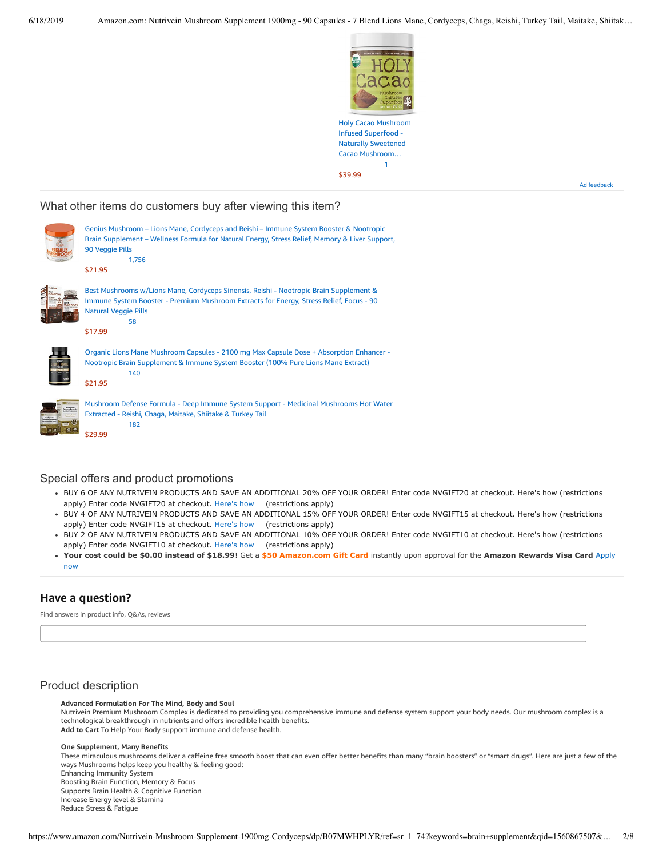

Infused Superfood - Naturally Sweetened Cacao [Mushroom…](https://www.amazon.com/gp/slredirect/picassoRedirect.html/ref=sspa_dk_detail_0?ie=UTF8&adId=A09559491WIHG011SWO1U&qualifier=1560877230&id=7263685106309237&widgetName=sp_detail&url=%2Fdp%2FB07PGBQLQ4%2Fref%3Dsspa_dk_detail_0%3Fpsc%3D1%26pd_rd_i%3DB07PGBQLQ4%26pd_rd_w%3D27Wgc%26pf_rd_p%3D8a8f3917-7900-4ce8-ad90-adf0d53c0985%26pd_rd_wg%3D5AkIx%26pf_rd_r%3DCWGP4GWGY0ASB2WBAQD3%26pd_rd_r%3D93f3966b-91ea-11e9-b8af-7ff9941832d1) [1](https://www.amazon.com/gp/slredirect/picassoRedirect.html/ref=sspa_dk_detail_0?ie=UTF8&adId=A09559491WIHG011SWO1U&qualifier=1560877230&id=7263685106309237&widgetName=sp_detail&url=%2Fdp%2FB07PGBQLQ4%2Fref%3Dsspa_dk_detail_0%3Fpsc%3D1%26pd_rd_i%3DB07PGBQLQ4%26pd_rd_w%3D27Wgc%26pf_rd_p%3D8a8f3917-7900-4ce8-ad90-adf0d53c0985%26pd_rd_wg%3D5AkIx%26pf_rd_r%3DCWGP4GWGY0ASB2WBAQD3%26pd_rd_r%3D93f3966b-91ea-11e9-b8af-7ff9941832d1#customerReviews) \$39.99

Ad feedback

# What other items do customers buy after viewing this item?

|   | Genius Mushroom – Lions Mane, Cordyceps and Reishi – Immune System Booster & Nootropic<br>Brain Supplement - Wellness Formula for Natural Energy, Stress Relief, Memory & Liver Support,<br>90 Veggie Pills<br>1,756<br>\$21.95   |
|---|-----------------------------------------------------------------------------------------------------------------------------------------------------------------------------------------------------------------------------------|
| é | Best Mushrooms w/Lions Mane, Cordyceps Sinensis, Reishi - Nootropic Brain Supplement &<br>Immune System Booster - Premium Mushroom Extracts for Energy, Stress Relief, Focus - 90<br><b>Natural Veggie Pills</b><br>58<br>\$17.99 |
|   | Organic Lions Mane Mushroom Capsules - 2100 mg Max Capsule Dose + Absorption Enhancer -<br>Nootropic Brain Supplement & Immune System Booster (100% Pure Lions Mane Extract)<br>140<br>\$21.95                                    |
|   | Mushroom Defense Formula - Deep Immune System Support - Medicinal Mushrooms Hot Water<br>Extracted - Reishi, Chaga, Maitake, Shiitake & Turkey Tail<br>182<br>\$29.99                                                             |

# Special offers and product promotions

- BUY 6 OF ANY NUTRIVEIN PRODUCTS AND SAVE AN ADDITIONAL 20% OFF YOUR ORDER! Enter code NVGIFT20 at checkout. Here's how (restrictions apply) Enter code NVGIFT20 at checkout. [Here's how](javascript:void(0))  (restrictions apply)
- BUY 4 OF ANY NUTRIVEIN PRODUCTS AND SAVE AN ADDITIONAL 15% OFF YOUR ORDER! Enter code NVGIFT15 at checkout. Here's how (restrictions apply) Enter code NVGIFT15 at checkout. [Here's how](javascript:void(0))  (restrictions apply)
- . BUY 2 OF ANY NUTRIVEIN PRODUCTS AND SAVE AN ADDITIONAL 10% OFF YOUR ORDER! Enter code NVGIFT10 at checkout. Here's how (restrictions apply) Enter code NVGIFT10 at checkout. [Here's how](javascript:void(0))  (restrictions apply)
- **[Your cost could be \\$0.00 instead of \\$18.99](https://www.amazon.com/gp/cobrandcard/marketing.html?pr=con321&inc=50gcUnrec&ts=bc3qvvc1gbw8ndpsujeg439wlqjd8yz&dasin=B07MWHPLYR&plattr=math&place=detailpage&imp=a309c200-dcad-4258-adc0-69bddaabf79a)**! Get a **\$50 Amazon.com Gift Card** instantly upon approval for the **Amazon Rewards Visa Card** Apply now

# **Have a question?**

Find answers in product info, Q&As, reviews

# Product description

## **Advanced Formulation For The Mind, Body and Soul**

Nutrivein Premium Mushroom Complex is dedicated to providing you comprehensive immune and defense system support your body needs. Our mushroom complex is a technological breakthrough in nutrients and offers incredible health benefits. **Add to Cart** To Help Your Body support immune and defense health.

#### **One Supplement, Many Benefits**

These miraculous mushrooms deliver a caffeine free smooth boost that can even offer better benefits than many "brain boosters" or "smart drugs". Here are just a few of the ways Mushrooms helps keep you healthy & feeling good:

Enhancing Immunity System Boosting Brain Function, Memory & Focus Supports Brain Health & Cognitive Function Increase Energy level & Stamina Reduce Stress & Fatigue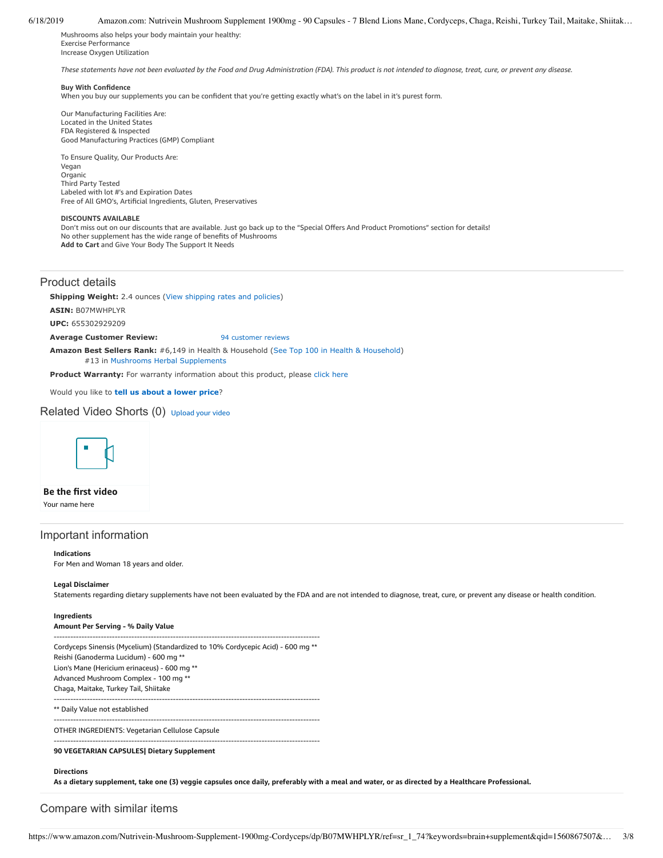### 6/18/2019 Amazon.com: Nutrivein Mushroom Supplement 1900mg - 90 Capsules - 7 Blend Lions Mane, Cordyceps, Chaga, Reishi, Turkey Tail, Maitake, Shiitak…

Mushrooms also helps your body maintain your healthy: Exercise Performance Increase Oxygen Utilization

These statements have not been evaluated by the Food and Drug Administration (FDA). This product is not intended to diagnose, treat, cure, or prevent any disease.

### **Buy With Confidence**

When you buy our supplements you can be confident that you're getting exactly what's on the label in it's purest form.

Our Manufacturing Facilities Are: Located in the United States FDA Registered & Inspected Good Manufacturing Practices (GMP) Compliant

To Ensure Quality, Our Products Are: Vegan Organic Third Party Tested Labeled with lot #'s and Expiration Dates Free of All GMO's, Artificial Ingredients, Gluten, Preservatives

#### **DISCOUNTS AVAILABLE**

Don't miss out on our discounts that are available. Just go back up to the "Special Offers And Product Promotions" section for details! No other supplement has the wide range of benefits of Mushrooms **Add to Cart** and Give Your Body The Support It Needs

# Product details

**Shipping Weight:** 2.4 ounces [\(View shipping rates and policies\)](https://www.amazon.com/gp/help/seller/shipping.html/ref=dp_pd_shipping?ie=UTF8&asin=B07MWHPLYR&seller=ATVPDKIKX0DER)

**ASIN:** B07MWHPLYR

**UPC:** 655302929209

#### **Average Customer Review:** [94 customer reviews](https://www.amazon.com/product-reviews/B07MWHPLYR/ref=acr_dpproductdetail_text?ie=UTF8&showViewpoints=1)

**Amazon Best Sellers Rank:** #6,149 in Health & Household ([See Top 100 in Health & Household](https://www.amazon.com/gp/bestsellers/hpc/ref=pd_zg_ts_hpc)) #13 in [Mushrooms Herbal Supplements](https://www.amazon.com/gp/bestsellers/hpc/3766351/ref=pd_zg_hrsr_hpc)

**Product Warranty:** For warranty information about this product, please [click here](https://www.amazon.com/gp/feature.html/ref=dp_warranty_request_3P?ie=UTF8&docId=1002406021)

Would you like to **tell us about a lower price**?

# Related Video Shorts (0) [Upload](https://www.amazon.com/creatorhub/video/upload?productASIN=B07MWHPLYR&referringURL=ZHAvQjA3TVdIUExZUg%3D%3D&ref=RVSW) your video



# **Be the first video**

Your name here

# Important information

### **Indications**

For Men and Woman 18 years and older.

#### **Legal Disclaimer**

Statements regarding dietary supplements have not been evaluated by the FDA and are not intended to diagnose, treat, cure, or prevent any disease or health condition.

## **Ingredients**

# **Amount Per Serving - % Daily Value**

------------------------------------------------------------------------------------------------ Cordyceps Sinensis (Mycelium) (Standardized to 10% Cordycepic Acid) - 600 mg \*\* Reishi (Ganoderma Lucidum) - 600 mg \*\* Lion's Mane (Hericium erinaceus) - 600 mg \*\* Advanced Mushroom Complex - 100 mg \*\* Chaga, Maitake, Turkey Tail, Shiitake ------------------------------------------------------------------------------------------------ \*\* Daily Value not established ------------------------------------------------------------------------------------------------ OTHER INGREDIENTS: Vegetarian Cellulose Capsule ------------------------------------------------------------------------------------------------

# **90 VEGETARIAN CAPSULES| Dietary Supplement**

# **Directions**

As a dietary supplement, take one (3) veggie capsules once daily, preferably with a meal and water, or as directed by a Healthcare Professional.

# Compare with similar items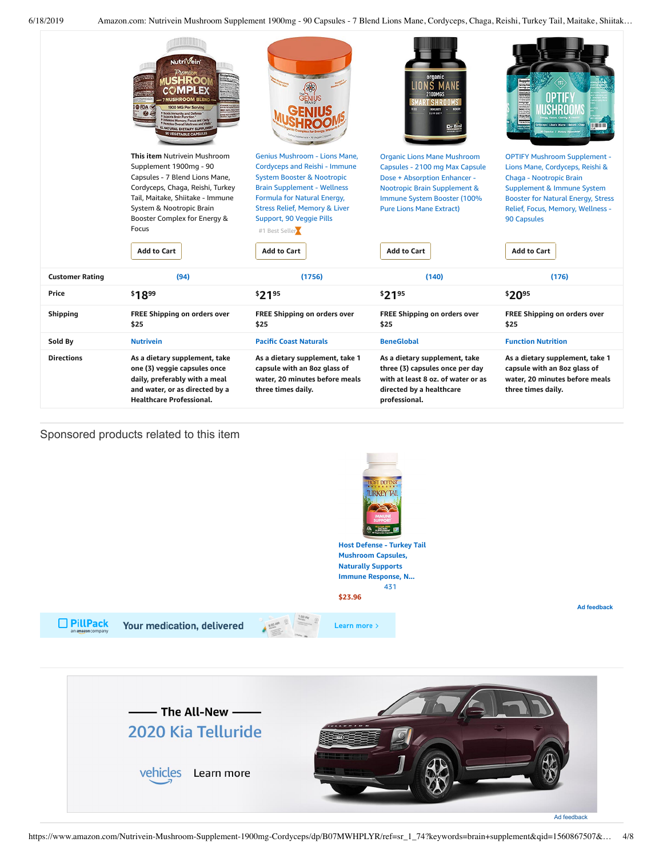6/18/2019 Amazon.com: Nutrivein Mushroom Supplement 1900mg - 90 Capsules - 7 Blend Lions Mane, Cordyceps, Chaga, Reishi, Turkey Tail, Maitake, Shiitak…

| <b>Directions</b>      | As a dietary supplement, take<br>one (3) veggie capsules once<br>daily, preferably with a meal<br>and water, or as directed by a                                                                                                                                                                                                                                                                                                                                                                                                        | As a dietary supplement, take 1<br>capsule with an 8oz glass of<br>water, 20 minutes before meals<br>three times daily.                                                                                                                                                                      | As a dietary supplement, take<br>three (3) capsules once per day<br>with at least 8 oz. of water or as<br>directed by a healthcare                                                                                                                                                           | As a dietary supplement, take 1<br>capsule with an 8oz glass of<br>water, 20 minutes before meals<br>three times daily.                                                                                                                                                                                                                                                                                                       |
|------------------------|-----------------------------------------------------------------------------------------------------------------------------------------------------------------------------------------------------------------------------------------------------------------------------------------------------------------------------------------------------------------------------------------------------------------------------------------------------------------------------------------------------------------------------------------|----------------------------------------------------------------------------------------------------------------------------------------------------------------------------------------------------------------------------------------------------------------------------------------------|----------------------------------------------------------------------------------------------------------------------------------------------------------------------------------------------------------------------------------------------------------------------------------------------|-------------------------------------------------------------------------------------------------------------------------------------------------------------------------------------------------------------------------------------------------------------------------------------------------------------------------------------------------------------------------------------------------------------------------------|
| Sold By                | <b>Nutrivein</b>                                                                                                                                                                                                                                                                                                                                                                                                                                                                                                                        | <b>Pacific Coast Naturals</b>                                                                                                                                                                                                                                                                | <b>BeneGlobal</b>                                                                                                                                                                                                                                                                            | <b>Function Nutrition</b>                                                                                                                                                                                                                                                                                                                                                                                                     |
| <b>Shipping</b>        | FREE Shipping on orders over<br>\$25                                                                                                                                                                                                                                                                                                                                                                                                                                                                                                    | FREE Shipping on orders over<br>\$25                                                                                                                                                                                                                                                         | FREE Shipping on orders over<br>\$25                                                                                                                                                                                                                                                         | FREE Shipping on orders over<br>\$25                                                                                                                                                                                                                                                                                                                                                                                          |
| Price                  | \$1899                                                                                                                                                                                                                                                                                                                                                                                                                                                                                                                                  | \$2195                                                                                                                                                                                                                                                                                       | \$2195                                                                                                                                                                                                                                                                                       | \$2095                                                                                                                                                                                                                                                                                                                                                                                                                        |
| <b>Customer Rating</b> | (94)                                                                                                                                                                                                                                                                                                                                                                                                                                                                                                                                    | (1756)                                                                                                                                                                                                                                                                                       | (140)                                                                                                                                                                                                                                                                                        | (176)                                                                                                                                                                                                                                                                                                                                                                                                                         |
|                        | Nutri <sup>Vein</sup><br>Premiun<br>JSHRO0<br>VIPIBE<br><b>OFDA</b><br>900 MG Per Serving<br><b>Is Immunity and Defense</b><br>Kirts Brain Function *<br>mory, Focus and Clarity<br>liness and Vitalit<br><b>IATURAL DIETARY SUPPLEMEN</b><br><b>OVEGETADI E CAPSULI</b><br>This item Nutrivein Mushroom<br>Supplement 1900mg - 90<br>Capsules - 7 Blend Lions Mane,<br>Cordyceps, Chaga, Reishi, Turkey<br>Tail, Maitake, Shiitake - Immune<br>System & Nootropic Brain<br>Booster Complex for Energy &<br>Focus<br><b>Add to Cart</b> | Genius Mushroom - Lions Mane,<br>Cordyceps and Reishi - Immune<br><b>System Booster &amp; Nootropic</b><br><b>Brain Supplement - Wellness</b><br>Formula for Natural Energy,<br><b>Stress Relief, Memory &amp; Liver</b><br>Support, 90 Veggie Pills<br>#1 Best Seller<br><b>Add to Cart</b> | organic<br>ONS MAN<br><b>YTIKININ</b><br>surrant-<br><b>Organic Lions Mane Mushroom</b><br>Capsules - 2100 mg Max Capsule<br>Dose + Absorption Enhancer -<br><b>Nootropic Brain Supplement &amp;</b><br>Immune System Booster (100%<br><b>Pure Lions Mane Extract)</b><br><b>Add to Cart</b> | ireart per l<br>Jen's Mary<br>Jen's Mary<br>Luthera Victorie<br>Luther Fall re<br>Luther Fall<br>Luther Fall<br>Luther Fall<br>Luther Fall<br><b>ANTITITITITITI</b><br><b>OPTIFY Mushroom Supplement -</b><br>Lions Mane, Cordyceps, Reishi &<br>Chaga - Nootropic Brain<br>Supplement & Immune System<br><b>Booster for Natural Energy, Stress</b><br>Relief, Focus, Memory, Wellness -<br>90 Capsules<br><b>Add to Cart</b> |

Sponsored products related to this item



**[Mushroom](https://www.amazon.com/gp/slredirect/picassoRedirect.html/ref=sspa_dk_detail_0?ie=UTF8&adId=A031040123I3B3SQR17G5&qualifier=1560877229&id=3881273682212458&widgetName=sp_detail2&url=%2Fdp%2FB002WIVHSM%2Fref%3Dsspa_dk_detail_0%3Fpsc%3D1%26smid%3DA2G7B63FOSFZJZ) Capsules, Naturally Supports Immune Response, N...** [431](https://www.amazon.com/gp/slredirect/picassoRedirect.html/ref=sspa_dk_detail_0?ie=UTF8&adId=A031040123I3B3SQR17G5&qualifier=1560877229&id=3881273682212458&widgetName=sp_detail2&url=%2Fdp%2FB002WIVHSM%2Fref%3Dsspa_dk_detail_0%3Fpsc%3D1%26smid%3DA2G7B63FOSFZJZ#customerReviews)

**\$23.96**

□ PillPack Your medication, delivered





**Ad feedback**

<span id="page-3-0"></span>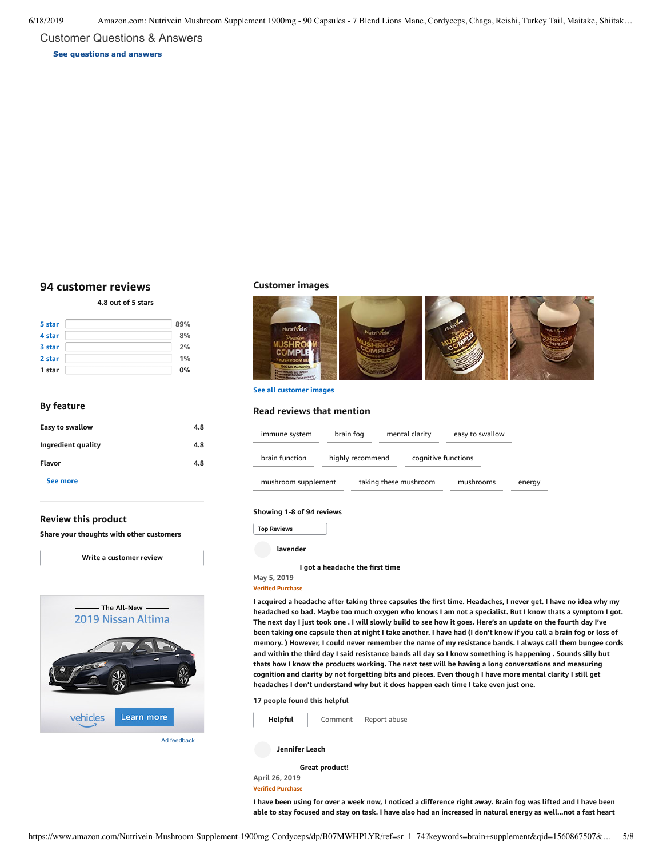Customer Questions & Answers

**[See questions and answers](https://www.amazon.com/ask/questions/asin/B07MWHPLYR/ref=cm_cd_dp_lla_ql_ll)**

# <span id="page-4-0"></span>**[94 customer](https://www.amazon.com/Nutrivein-Mushroom-Supplement-1900mg-Cordyceps/product-reviews/B07MWHPLYR/ref=cm_cr_dp_d_show_all_top?ie=UTF8&reviewerType=all_reviews) reviews**

**4.8 out of 5 [stars](javascript:void(0))**

| 5 star | 89% |
|--------|-----|
| 4 star | 8%  |
| 3 star | 2%  |
| 2 star | 1%  |
| 1 star | 0%  |

# **By feature**

| Easy to swallow    | 4.8 |
|--------------------|-----|
| Ingredient quality | 4.8 |
| Flavor             | 4.8 |
| See more           |     |

# **Review this product**

**Share your thoughts with other customers**



Ad feedback

### **Customer images**



**See all customer images**

# **Read reviews that mention**

| immune system       | brain fog        | mental clarity        | easy to swallow     |        |
|---------------------|------------------|-----------------------|---------------------|--------|
| brain function      | highly recommend |                       | cognitive functions |        |
| mushroom supplement |                  | taking these mushroom | mushrooms           | energy |

### **Showing 1-8 of 94 reviews**

Top Reviews **Top Reviews**

**lavender**

### **I got a [headache](https://www.amazon.com/gp/customer-reviews/R5G27XQLF6HA0/ref=cm_cr_dp_d_rvw_ttl?ie=UTF8&ASIN=B07MWHPLYR) the first time**

**May 5, 2019 Verified Purchase**

I acquired a headache after taking three capsules the first time. Headaches, I never get. I have no idea why my headached so bad. Maybe too much oxygen who knows I am not a specialist. But I know thats a symptom I got. The next day I just took one . I will slowly build to see how it goes. Here's an update on the fourth day I've been taking one capsule then at night I take another. I have had (I don't know if you call a brain fog or loss of memory. ) However, I could never remember the name of my resistance bands. I always call them bungee cords and within the third day I said resistance bands all day so I know something is happening . Sounds silly but **thats how Iknow the products working. The next test will be having a long conversations and measuring** cognition and clarity by not forgetting bits and pieces. Even though I have more mental clarity I still get **headaches I don't understand why but it does happen each time I take even just one.**

#### **17 people found this helpful**



[Comment](https://www.amazon.com/gp/customer-reviews/R5G27XQLF6HA0/ref=cm_cr_dp_d_rvw_btm?ie=UTF8&ASIN=B07MWHPLYR#wasThisHelpful) [Report](https://www.amazon.com/hz/reviews-render/report-abuse?ie=UTF8&voteDomain=Reviews&ref=cm_cr_dp_d_rvw_hlp&csrfT=goK%2B%2Bb7S5sY7pqo4WpFhXPTUP0j2KwFaWbVxwOEAAAABAAAAAF0JGK5yYXcAAAAA%2B4kUEk%2F7iMGR3xPcX6iU&entityId=R5G27XQLF6HA0&sessionId=143-6729050-3493109) abuse

**Jennifer Leach**

**Great [product!](https://www.amazon.com/gp/customer-reviews/R3N0CE7ODTQSDR/ref=cm_cr_dp_d_rvw_ttl?ie=UTF8&ASIN=B07MWHPLYR) April 26, 2019**

**Verified Purchase**

I have been using for over a week now, I noticed a difference right away. Brain fog was lifted and I have been able to stay focused and stay on task. I have also had an increased in natural energy as well...not a fast heart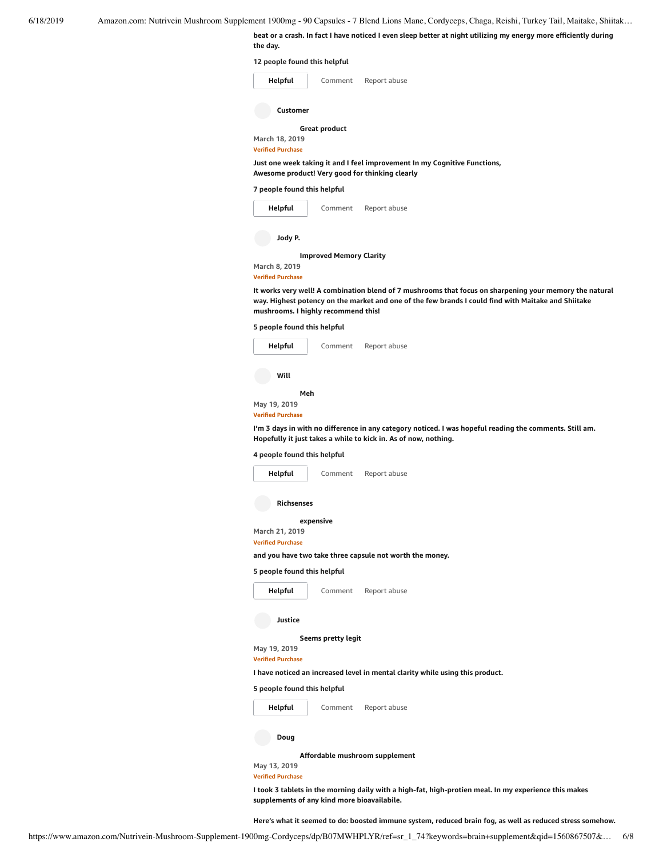beat or a crash. In fact I have noticed I even sleep better at night utilizing my energy more efficiently during **the day.**

**12 people found this helpful**

| Helpful                                                                                                                      | Comment       | Report abuse |
|------------------------------------------------------------------------------------------------------------------------------|---------------|--------------|
| Customer                                                                                                                     |               |              |
|                                                                                                                              | Great product |              |
| March 18, 2019                                                                                                               |               |              |
| <b>Verified Purchase</b>                                                                                                     |               |              |
| Just one week taking it and I feel improvement In my Cognitive Functions,<br>Awesome product! Very good for thinking clearly |               |              |

**7 people found this helpful**



It works very well! A combination blend of 7 mushrooms that focus on sharpening your memory the natural way. Highest potency on the market and one of the few brands I could find with Maitake and Shiitake **mushrooms. I highly recommend this!**

**5 people found this helpful**



**Hopefully it just takes a while to kick in. As of now, nothing.**

# **4 people found this helpful**

| Helpful                                    | Comment            | Report abuse                                                                  |
|--------------------------------------------|--------------------|-------------------------------------------------------------------------------|
| <b>Richsenses</b>                          |                    |                                                                               |
|                                            | expensive          |                                                                               |
| March 21, 2019<br><b>Verified Purchase</b> |                    |                                                                               |
|                                            |                    | and you have two take three capsule not worth the money.                      |
| 5 people found this helpful                |                    |                                                                               |
| Helpful                                    | Comment            | Report abuse                                                                  |
| Justice                                    |                    |                                                                               |
|                                            | Seems pretty legit |                                                                               |
| May 19, 2019                               |                    |                                                                               |
| <b>Verified Purchase</b>                   |                    |                                                                               |
|                                            |                    | I have noticed an increased level in mental clarity while using this product. |
| 5 people found this helpful                |                    |                                                                               |
| Helpful                                    | Comment            | Report abuse                                                                  |
| Doug                                       |                    |                                                                               |
|                                            |                    | Affordable mushroom supplement                                                |
| May 13, 2019                               |                    |                                                                               |
|                                            |                    |                                                                               |
| <b>Verified Purchase</b>                   |                    |                                                                               |

I took 3 tablets in the morning daily with a high-fat, high-protien meal. In my experience this makes **supplements of any kind more bioavailabile.**

**Here's what it seemed to do: boosted immune system, reduced brain fog, as well as reduced stress somehow.**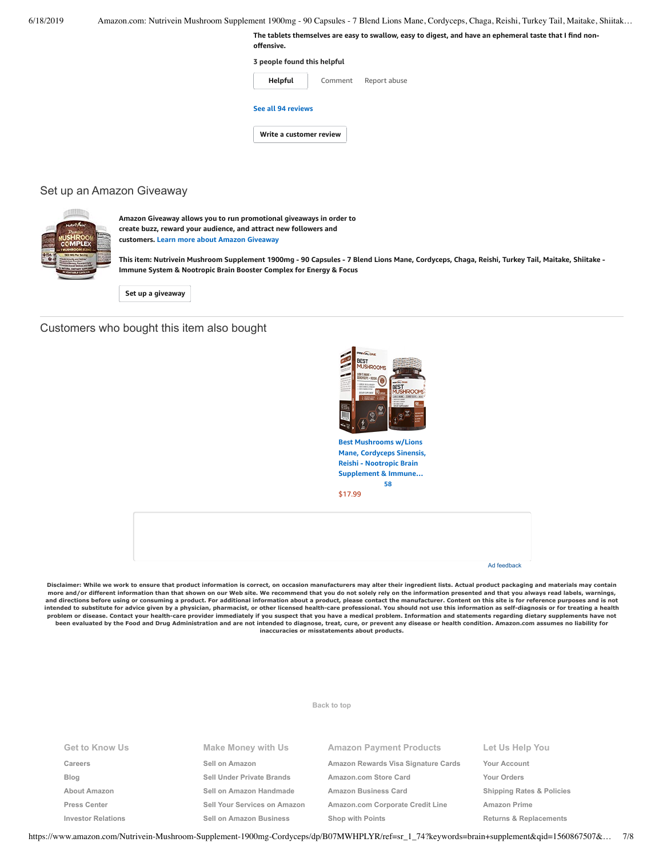| 6/18/2019 | Amazon.com: Nutrivein Mushroom Supplement 1900mg - 90 Capsules - 7 Blend Lions Mane, Cordyceps, Chaga, Reishi, Turkey Tail, Maitake, Shiitak |                                                                                                                        |  |
|-----------|----------------------------------------------------------------------------------------------------------------------------------------------|------------------------------------------------------------------------------------------------------------------------|--|
|           |                                                                                                                                              | The tablets themselves are easy to swallow, easy to digest, and have an ephemeral taste that I find non-<br>offensive. |  |
|           |                                                                                                                                              | 3 people found this helpful                                                                                            |  |
|           |                                                                                                                                              | Helpful<br>Report abuse<br>Comment                                                                                     |  |
|           |                                                                                                                                              | See all 94 reviews                                                                                                     |  |
|           |                                                                                                                                              | Write a customer review                                                                                                |  |
|           |                                                                                                                                              |                                                                                                                        |  |

# Set up an Amazon Giveaway



**Amazon Giveaway allows you to run promotional giveaways in order to create buzz, reward your audience, and attract new followers and customers. Learn more about Amazon [Giveaway](https://www.amazon.com/gp/giveaway/home?ref=aga_dp_lm)**

This item: Nutrivein Mushroom Supplement 1900mg - 90 Capsules - 7 Blend Lions Mane, Cordyceps, Chaga, Reishi, Turkey Tail, Maitake, Shiitake -**Immune System & Nootropic Brain Booster Complex for Energy & Focus**

**Set up a [giveaway](https://www.amazon.com/giveaway/host/setup/ref=aga_h_su_dp?_encoding=UTF8&asin=B07MWHPLYR)**

# Customers who bought this item also bought



**Best Mushrooms w/Lions Mane, Cordyceps Sinensis, Reishi - Nootropic Brain [Supplement](https://www.amazon.com/Mushrooms-Lions-Cordyceps-Sinensis-Reishi/dp/B07NBR6FY4/ref=pd_sim_121_1/143-6729050-3493109?_encoding=UTF8&pd_rd_i=B07NBR6FY4&pd_rd_r=93f3966b-91ea-11e9-b8af-7ff9941832d1&pd_rd_w=n1e5A&pd_rd_wg=5AkIx&pf_rd_p=90485860-83e9-4fd9-b838-b28a9b7fda30&pf_rd_r=CWGP4GWGY0ASB2WBAQD3&psc=1&refRID=CWGP4GWGY0ASB2WBAQD3) & Immune… [58](https://www.amazon.com/product-reviews/B07NBR6FY4/ref=pd_sim_121_cr_1/143-6729050-3493109?ie=UTF8&pd_rd_i=B07NBR6FY4&pd_rd_r=93f3966b-91ea-11e9-b8af-7ff9941832d1&pd_rd_w=n1e5A&pd_rd_wg=5AkIx&pf_rd_p=90485860-83e9-4fd9-b838-b28a9b7fda30&pf_rd_r=CWGP4GWGY0ASB2WBAQD3&refRID=CWGP4GWGY0ASB2WBAQD3)**

[\\$17.99](https://www.amazon.com/Mushrooms-Lions-Cordyceps-Sinensis-Reishi/dp/B07NBR6FY4/ref=pd_sim_121_1/143-6729050-3493109?_encoding=UTF8&pd_rd_i=B07NBR6FY4&pd_rd_r=93f3966b-91ea-11e9-b8af-7ff9941832d1&pd_rd_w=n1e5A&pd_rd_wg=5AkIx&pf_rd_p=90485860-83e9-4fd9-b838-b28a9b7fda30&pf_rd_r=CWGP4GWGY0ASB2WBAQD3&psc=1&refRID=CWGP4GWGY0ASB2WBAQD3)



Disclaimer: While we work to ensure that product information is correct, on occasion manufacturers may alter their ingredient lists. Actual product packaging and materials may contain<br>more and/or different information than **and directions before using or consuming a product. For additional information about a product, please contact the manufacturer. Content on this site is for reference purposes and is not** intended to substitute for advice given by a physician, pharmacist, or other licensed health-care professional. You should not use this information as self-diagnosis or for treating a health<br>problem or disease. Contact you **been evaluated by the Food and Drug Administration and are not intended to diagnose, treat, cure, or prevent any disease or health condition. Amazon.com assumes no liability for inaccuracies or misstatements about products.**

#### **Get to Know Us [Careers](https://www.amazon.jobs/) [Blog](https://blog.aboutamazon.com/?utm_source=gateway&utm_medium=footer) [About Amazon](https://www.aboutamazon.com/?utm_source=gateway&utm_medium=footer) [Press Center](https://www.amazon.com/pr) [Investor Relations](https://www.amazon.com/ir) Make Money with Us [Sell on Amazon](https://www.amazon.com/gp/redirect.html?_encoding=UTF8&location=https%3A%2F%2Fservices.amazon.com%2Fcontent%2Fsell-on-amazon.htm%2Fref%3Dfooter_soa%3Fld%3DAZFSSOA%26ref_%3Dfooter_soa&source=standards&token=1CC2E60AAEEFD9613C04037E8F5AFD0F4D90DC5B) [Sell Under Private Brands](https://www.amazon.com/l/ref=map_1_b2b_GW_FT?node=17882322011) [Sell on Amazon Handmade](https://www.amazon.com/gp/redirect.html?_encoding=UTF8&location=https%3A%2F%2Fservices.amazon.com%2Fhandmade%2Fhandmade.html%3Fld%3DAZUSHNDFooter%26ref_%3Dfooter_soa&source=standards&token=3B063664DF1F3D449986FD6D04FA7404D76C339B) [Sell Your Services on Amazon](https://www.amazon.com/gp/redirect.html?_encoding=UTF8&location=https%3A%2F%2Fservices.amazon.com%2Fselling-services%2Fbenefits.htm%3Fld%3DAZUSVAS-globalfooter%26ref_%3Dfooter_sell_svcs&source=standards&token=E93858F0E946F93FEAC7F36EFB8E10F5C54CDBFC) [Sell on Amazon Business](https://services.amazon.com/amazon-business.html?ld=usb2bunifooter) Amazon Payment Products [Amazon Rewards Visa Signature Cards](https://www.amazon.com/iss/credit/rewardscardmember?_encoding=UTF8&plattr=CBFOOT&ref_=footer_cbcc) [Amazon.com Store Card](https://www.amazon.com/iss/credit/storecardmember?_encoding=UTF8&plattr=PLCCFOOT&ref_=footer_plcc) [Amazon Business Card](https://www.amazon.com/dp/B07984JN3L?_encoding=UTF8&ie=UTF-8&plattr=ACOMFO) [Amazon.com Corporate Credit Line](https://www.amazon.com/dp/B07CBJQS16?_encoding=UTF8&ie=UTF-8&place=camp&plattr=CCLFOOT&pr=ibprox&ref_=footer_ccl) [Shop with Points](https://www.amazon.com/b?ie=UTF8&node=16218619011&ref_=footer_swp) Let Us Help You [Your Account](https://www.amazon.com/gp/css/homepage.html?ie=UTF8&ref_=footer_ya) [Your Orders](https://www.amazon.com/gp/css/order-history?ie=UTF8&ref_=footer_yo) [Shipping Rates & Policies](https://www.amazon.com/gp/help/customer/display.html?ie=UTF8&nodeId=468520&ref_=footer_shiprates) [Amazon Prime](https://www.amazon.com/gp/prime?ie=UTF8&ref_=footer_prime) [Returns & Replacements](https://www.amazon.com/gp/css/returns/homepage.html?ie=UTF8&ref_=footer_hy_f_4)**

**[Back to top](#page-0-0)**

https://www.amazon.com/Nutrivein-Mushroom-Supplement-1900mg-Cordyceps/dp/B07MWHPLYR/ref=sr\_1\_74?keywords=brain+supplement&qid=1560867507&… 7/8